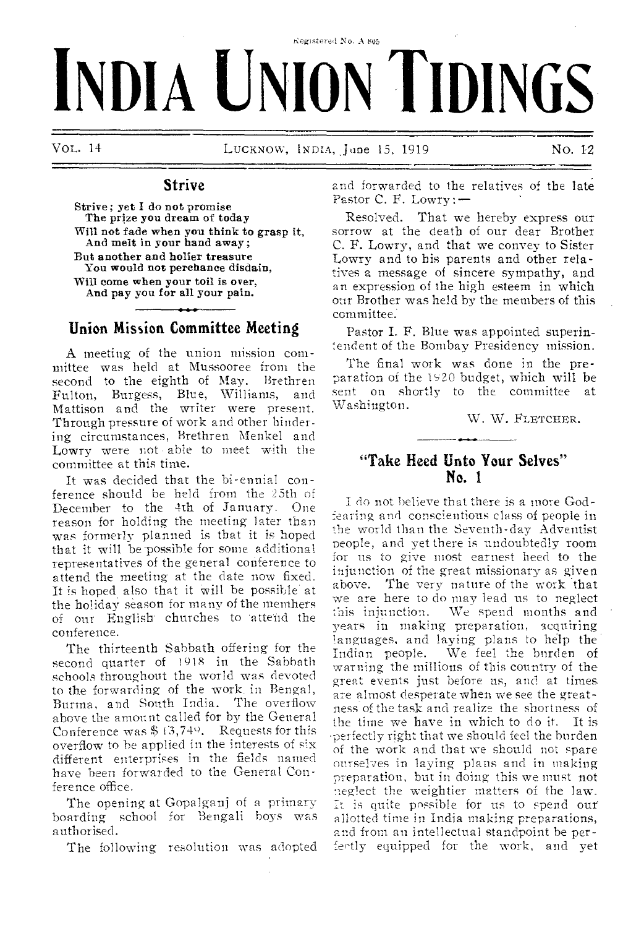# Registered No. A 805 **INDIA UNION TIDINGS**

**VOL. 14** LUCKNOW, INDIA, **Jane 15, 1919 No. 12** 

## **Strive**

Strive; yet I do not promise The prize you dream of today Will not fade when you think to grasp it, And melt in your hand away ; But another and holier treasure You would not perchance disdain, Will come when your toil is over, And pay you for all your pain.

# **Union Mission Committee Meeting**

A meeting of the union mission committee was held at Mussooree from the second to the eighth of May. Brethren Fulton, Burgess, Blue, Williams, and Mattison and the writer were present. Through pressure of work and other hindering circumstances, Brethren Menkel and Lowry were not able to meet with the committee at this time.

It was decided that **the bi-ennial conference should** he held **from the 25th** of December **to the** 4th **of January. One**  reason for **holding the** meeting **later than**  was **formerly planned is** that it is **hoped that it** will be possible **for** some **additional**  representatives **of the** general **conference to**  attend the **meeting at** the date **now fixed. It is** hoped. **also that it** Will he possible **at the** holiday season for many of the memhers of our English churches to attend the conference.

The **thirteenth Sabbath** offering **for** the second quarter of 1918 in the **Sabbath**  schools **throughout the** world was **devoted**  to the **forwarding** of the work, in **Bengal,**  Burma, **and South** India. The **overflow**  above **the amount** called for by the **General**  Conference was \$ 1'3,740. Requests **for this**  overflow **to be applied** in the interests **of** six different **enterprises** in the fields **named**  have been **forwarded to** the **General Conference office.** 

The opening at **Gopalganj** of **a primary**  boarding school **for** Bengali **boys was**  authorised.

The following **resolution was adopted** 

and forwarded to the relatives of the late **Pastor C. F. Lowry:—** 

**Resolved.** That we hereby express our sorrow at the death of our dear Brother C. F. Lowry, and that we convey to Sister Lowry and to his parents and other relatives a message of sincere sympathy, and an expression of the high esteem in which our Brother was held by the members of this committee.

Pastor I. F. Blue was appointed superintendent of the Bombay Presidency mission.

**The** final work was done in the **preparation** of the i520 budget, which will be sent on shortly to the committee at Washington.

W. W. FLETCHER.

## **"Take Heed Unto Your Selves" No. I**

**I do not believe that there is a** more Godfearing **and conscientious class of** people in **the world than the Seventh-day** Adventist **people, and yet there is undoubtedly** room for **us to give most earnest heed** to the **injunction of the great missionary as** given **above. The very nature of the work** that we **are here to do may lead us to** neglect **this injunction. We spend months** and **years in making preparation,** 'acquiring **languages, and laying plans to** he'lp the We feel the burden of warning the millions **of this country** of the **great events** just **before us, and** at times. **are almost desperate** when we **see the** greatness **of the task and** realize the shortness of **the time we have in** which **to do it. It is**  perfectly right **that we** should **feel the** burden **of the work and that** we **should** not spare **ourselves in laying plans and in** making **preparation, but in doing this we** must not **neglect the** weightier matters **of the** law. It is **quite** possible for us **to** spend our' allotted time in India **making** preparations, and from an intellectual **standpoint** be per fectly equipped for the work, and yet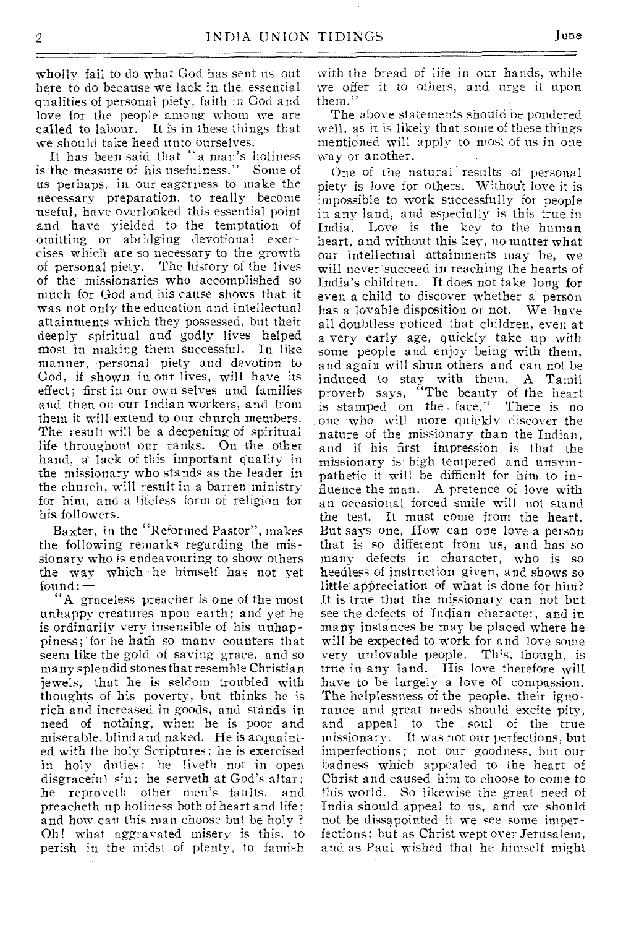wholly fail to do what God has sent us out here to do because we lack in the, essential qualities of personal piety, faith in God and love for the people among whom we are called to labour. It is in these things that we should take heed unto ourselves.

It has been said that "a man's holiness is the measure of his usefulness." us perhaps, in our eagerness to make the necessary preparation, to really become useful, have overlooked this essential point and have yielded to the temptation of omitting or abridging devotional exercises which are so necessary to the growth of personal piety. The history of the lives of the' missionaries who accomplished so much for God and his cause shows that it was not only the education and intellectual attainments which they possessed, but their deeply spiritual 'and godly lives helped most in making them successful. In like manner, personal piety and devotion to God, if shown in our lives, will have its effect; first in our own selves and families and then on our Indian workers, and from them it will extend to our church members. The result will be a deepening of spiritual life throughout our ranks. On the other hand, a' lack of this important quality in the missionary who stands as the leader in the church, will result in a barren ministry for him, and a lifeless form of religion for his followers.

Baxter, in the "Reformed Pastor", makes the following remarks regarding the missionary who is endeavouring to show others the way which 'he himself has not yet found: —

"A graceless preacher is one of the most unhappy creatures upon earth; and yet he is ordinarily very insensible of his unhappiness ; 'for he bath so many counters that seem like the gold of saving grace, and so many splendid stonesthat resemble Christian jewels, that- he is seldom troubled with thoughts of his poverty, but thinks he is rich and increased in goods, and stands in need of nothing, when he is poor and miserable, blind and naked. He is acquainted with the holy Scriptures; he is exercised in holy duties; he liveth not in open disgraceful sin; he serveth at God's altar; he reproveth other men's faults, and preacheth up holiness both of heart and life; and how can this man choose but be holy ? Oh! what aggravated misery is this, to perish in the midst of plenty, to famish

with the bread of life in our hands, while we offer it to others, and urge it upon them."

The above statements should be pondered well, as it is likely that some of these things mentioned will apply to most of us in one way or another.

One of the natural results of personal piety is love for others. Without love it is impossible to work successfully for people in any land, and especially is this true in India. Love is the key to the human heart, and without this key, no matter what our intellectual attainments may be, we will never succeed in reaching the hearts of India's children. It does not take long for even a child to discover whether a person has a lovable disposition or not. We have all doubtless noticed that children, even at a very early age, quickly take up with some people and enjoy being with them, and again will shun others and can not be induced to stay with them. A Tamil proverb says, "The beauty of the heart is stamped on the . face." There is no one 'who will more quickly discover the nature of the missionary than the Indian, and if his first impression is that the missionary is high' tempered and unsympathetic it will be difficult for him to influence the man. A pretence of love with an occasional forced smile wilt not stand the test. It must come from the heart. But says one, How can one love a person that is so different from us, and has so many defects in character, who is so heedless of instruction given, and shows so little appreciation of what is done for him? It is true that the missionary can not but see the defects of Indian character, and in many instances he may be placed where he will be expected to work for and love some very unlovable people. This, though, is true in any land. His love therefore will have to be largely a love of compassion. The helplessness of the people, their ignorance and great needs should excite pity, and appeal to the soul of the true missionary. It was not our perfections, but imperfections; not our goodness, but our badness which appealed to the heart of Christ and caused him to choose to come to this world. So likewise the great need of India should appeal to us, and we should not be dissapointed if we see some imperfections; but as Christ wept over Jerusalem, and as Paul wished that he himself might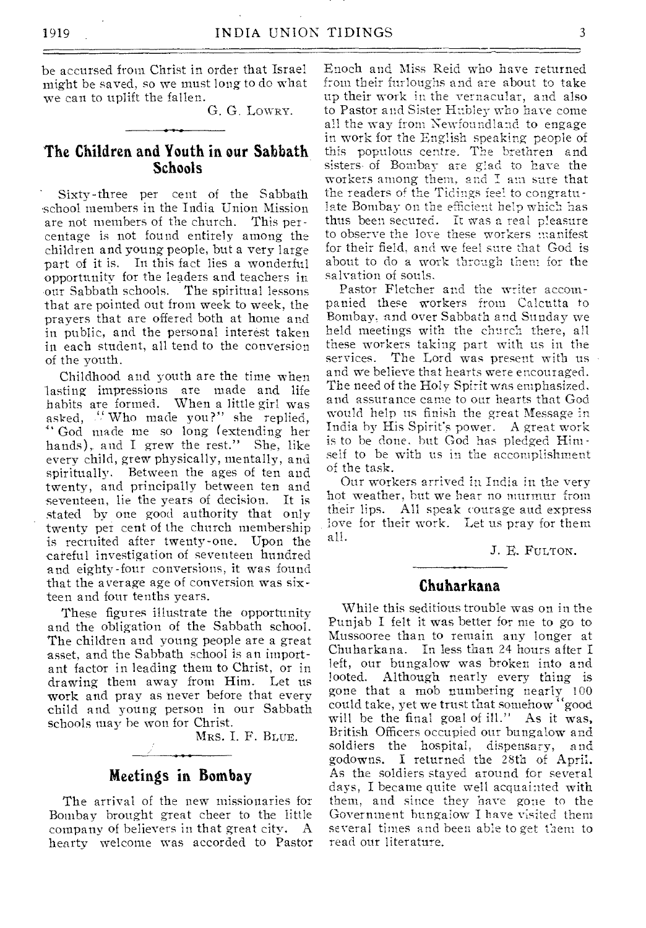be accursed from Christ in order that Israel might be saved, so we must long to do what we can to uplift the fallen.

G. G. LOWRY.

#### **The Children and Youth in our Sabbath Schools**

Sixty-three per cent of the Sabbath school members in the India Union Mission are not members of the church. This percentage is not found entirely among the children and young people, but a very large part of it is. In this fact lies a wonderful opportunity for the leaders and teachers in our Sabbath schools. The spiritual lessons that are pointed out from week to week, the prayers that are offered both at home and in public, and the personal interest taken in each student, all tend to the conversion of the youth.

Childhood and youth are the time when lasting impressions are made and life habits are formed. When a little girl was asked, "Who made you?" she replied, ." God made me so long (extending her hands), and I grew the rest." She, like every child, grew physically, mentally, and spiritually. Between the ages of ten and twenty, and principally between ten and seventeen, lie the years of decision. It is stated by one good authority that only twenty per cent of the church membership is recruited after twenty-one. Upon the careful investigation of seventeen hundred and eighty-four conversions, it was found that the average age of conversion was sixteen and four tenths years.

These figures illustrate the opportunity and the obligation of the Sabbath school. The children and young people are a great asset, and the Sabbath school is an important factor in leading them to Christ, or in drawing them away from Him. Let us work and pray as never before that every child and young person in our Sabbath schools may he won for Christ.

**MRS.** I. F. BLUE.

# **Meetings in Bombay**

The arrival of the new missionaries for Bombay brought great cheer to the little company of believers in that great city. A hearty welcome was accorded to Pastor Enoch and Miss Reid who have returned from their **furloughs and are about to take up their work in the vernacular, and** also to Pastor **and Sister Hubley who have** come **all the way from Newfoundland to engage in** work for **the English speaking people of**  this populous **centre. The brethren** and sisters of **Bombay are glad to have** the **workers among them, and I am sure** that the readers **of the Tidings feel to congratulate Bombay on the efficient help which has**  thus been **secured. It was a real pleasure**  to observe **the love these workers manifest**  for their field, **and we feel sure that God** is about to do a work **through them for** the salvation of souls.

Pastor Fletcher and **the writer accompanied** these workers **from Calcutta to**  Bombay, and over **Sabbath and Sunday we**  held meetings with **the church there, all**  these workers taking **part with us in** the services. The **Lord was present** with us and we believe **that hearts were encouraged.**  The need of the **Holy Spirit was emphasized.**  and assurance **came to oar hearts that God**  would help us **finish the great Message** in India by His **Spirit's power. A great work is to be** done, **but God has pledged Himself** to be with **us in the accomplishment**  of the task.

Our workers **arrived** in **India in the very**  hot weather, **but** we hear **no murmur from their** lips. **All speak courage and express love** for their **work.** Let us **pray for** them **all.** 

J. E. FULTON.

#### **Chuharkana**

While this seditious trouble was on in the Punjab I felt it was better for me to go to Mussooree than to remain any longer at Chuharkana. In less than 24 hours after I left, our bungalow was broken into and looted. Although nearly every thing is gone that a mob numbering nearly 100 could take, yet we trust that somehow "good will be the final goal of ill." As it was, British Officers occupied our bungalow and soldiers the hospital, **dispensary, and**  godowns. I returned the 28th **of** April. As the soldiers stayed around **for several**  days, I became **quite well acquainted with them,** and since **they** have **gone to** the **Government bungalow I have visited them several** times **and been able to get them to read** our literature.